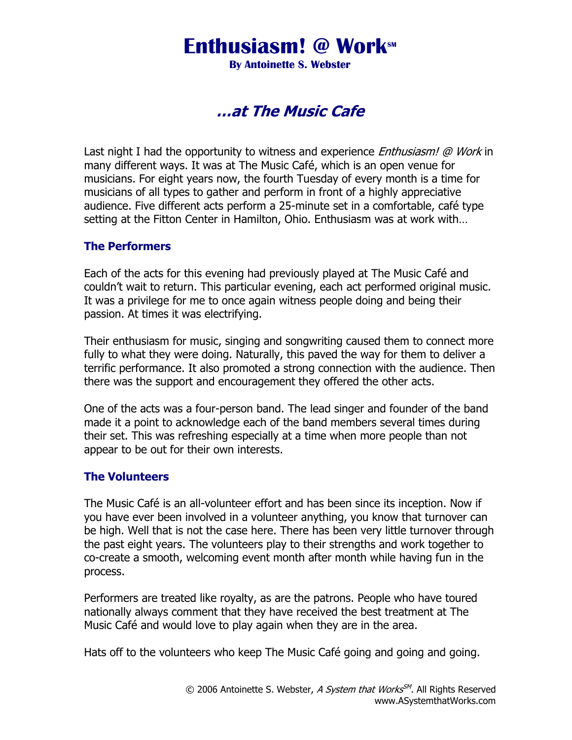## **Enthusiasm! @ Work** M

**By Antoinette S. Webster** 

### …at The Music Cafe

Last night I had the opportunity to witness and experience *Enthusiasm! @ Work* in many different ways. It was at The Music Café, which is an open venue for musicians. For eight years now, the fourth Tuesday of every month is a time for musicians of all types to gather and perform in front of a highly appreciative audience. Five different acts perform a 25-minute set in a comfortable, café type setting at the Fitton Center in Hamilton, Ohio. Enthusiasm was at work with…

### The Performers

Each of the acts for this evening had previously played at The Music Café and couldn't wait to return. This particular evening, each act performed original music. It was a privilege for me to once again witness people doing and being their passion. At times it was electrifying.

Their enthusiasm for music, singing and songwriting caused them to connect more fully to what they were doing. Naturally, this paved the way for them to deliver a terrific performance. It also promoted a strong connection with the audience. Then there was the support and encouragement they offered the other acts.

One of the acts was a four-person band. The lead singer and founder of the band made it a point to acknowledge each of the band members several times during their set. This was refreshing especially at a time when more people than not appear to be out for their own interests.

### The Volunteers

The Music Café is an all-volunteer effort and has been since its inception. Now if you have ever been involved in a volunteer anything, you know that turnover can be high. Well that is not the case here. There has been very little turnover through the past eight years. The volunteers play to their strengths and work together to co-create a smooth, welcoming event month after month while having fun in the process.

Performers are treated like royalty, as are the patrons. People who have toured nationally always comment that they have received the best treatment at The Music Café and would love to play again when they are in the area.

Hats off to the volunteers who keep The Music Café going and going and going.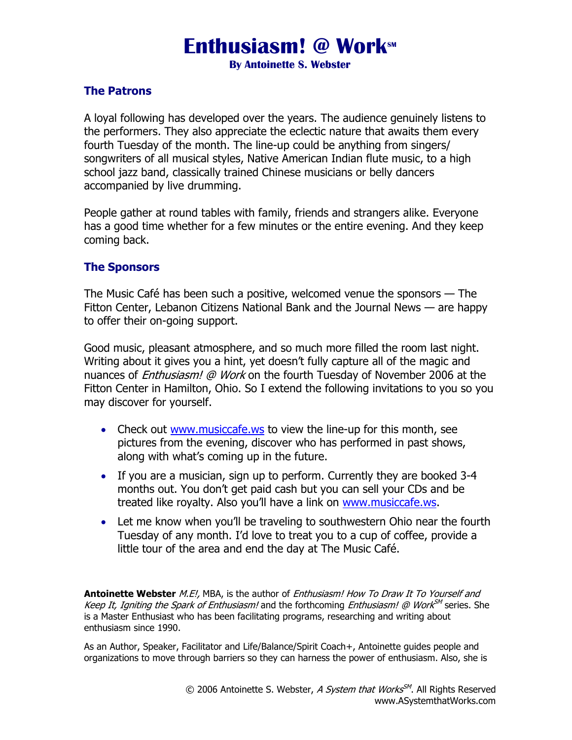# **Enthusiasm! @ Work** SM

**By Antoinette S. Webster** 

### The Patrons

A loyal following has developed over the years. The audience genuinely listens to the performers. They also appreciate the eclectic nature that awaits them every fourth Tuesday of the month. The line-up could be anything from singers/ songwriters of all musical styles, Native American Indian flute music, to a high school jazz band, classically trained Chinese musicians or belly dancers accompanied by live drumming.

People gather at round tables with family, friends and strangers alike. Everyone has a good time whether for a few minutes or the entire evening. And they keep coming back.

### The Sponsors

The Music Café has been such a positive, welcomed venue the sponsors — The Fitton Center, Lebanon Citizens National Bank and the Journal News — are happy to offer their on-going support.

Good music, pleasant atmosphere, and so much more filled the room last night. Writing about it gives you a hint, yet doesn't fully capture all of the magic and nuances of *Enthusiasm! @ Work* on the fourth Tuesday of November 2006 at the Fitton Center in Hamilton, Ohio. So I extend the following invitations to you so you may discover for yourself.

- Check out www.musiccafe.ws to view the line-up for this month, see pictures from the evening, discover who has performed in past shows, along with what's coming up in the future.
- If you are a musician, sign up to perform. Currently they are booked 3-4 months out. You don't get paid cash but you can sell your CDs and be treated like royalty. Also you'll have a link on www.musiccafe.ws.
- Let me know when you'll be traveling to southwestern Ohio near the fourth Tuesday of any month. I'd love to treat you to a cup of coffee, provide a little tour of the area and end the day at The Music Café.

Antoinette Webster M.E!, MBA, is the author of Enthusiasm! How To Draw It To Yourself and Keep It, Igniting the Spark of Enthusiasm! and the forthcoming Enthusiasm! @ Work<sup>SM</sup> series. She is a Master Enthusiast who has been facilitating programs, researching and writing about enthusiasm since 1990.

As an Author, Speaker, Facilitator and Life/Balance/Spirit Coach+, Antoinette guides people and organizations to move through barriers so they can harness the power of enthusiasm. Also, she is